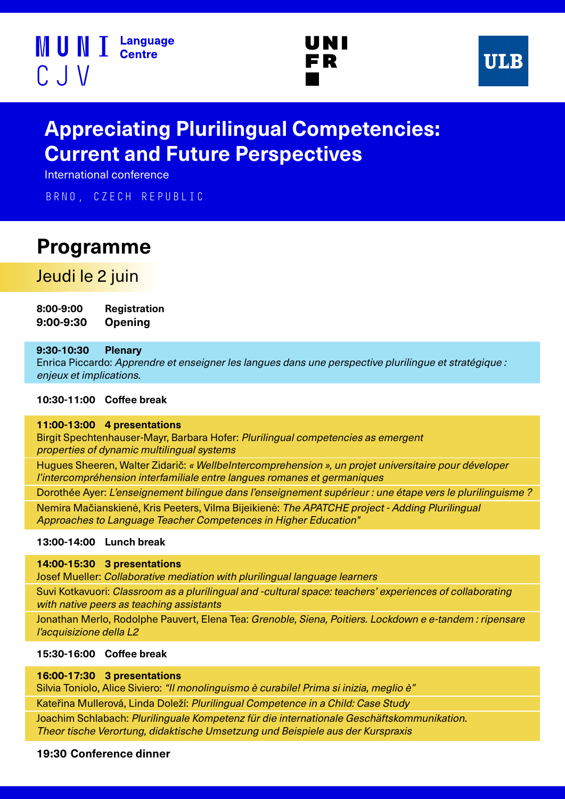





# **Appreciating Plurilingual Competencies: Current and Future Perspectives**

International conference

Brno, Czech Republic

# **Programme**

## Jeudi le 2 juin

**8:00-9:00 Registration 9:00-9:30 Opening**

### **9:30-10:30 Plenary**

l

Enrica Piccardo: Apprendre et enseigner les langues dans une perspective plurilingue et stratégique : enjeux et implications.

### **10:30-11:00 Coffee break**

#### **11:00-13:00 4 presentations**

Birgit Spechtenhauser-Mayr, Barbara Hofer: Plurilingual competencies as emergent properties of dynamic multilingual systems

Hugues Sheeren, Walter Zidarič: « WellbeIntercomprehension », un projet universitaire pour déveloper l'intercompréhension interfamiliale entre langues romanes et germaniques

Dorothée Ayer: L'enseignement bilingue dans l'enseignement supérieur : une étape vers le plurilinguisme ? Nemira Mačianskienė, Kris Peeters, Vilma Bijeikienė: The APATCHE project - Adding Plurilingual Approaches to Language Teacher Competences in Higher Education"

#### **13:00-14:00 Lunch break**

**14:00-15:30 3 presentations** 

Josef Mueller: Collaborative mediation with plurilingual language learners

Suvi Kotkavuori: Classroom as a plurilingual and -cultural space: teachers' experiences of collaborating with native peers as teaching assistants

Jonathan Merlo, Rodolphe Pauvert, Elena Tea: Grenoble, Siena, Poitiers. Lockdown e e-tandem : ripensare l'acquisizione della L2

### **15:30-16:00 Coffee break**

**16:00-17:30 3 presentations** 

Silvia Toniolo, Alice Siviero: "Il monolinguismo è curabile! Prima si inizia, meglio è"

Kateřina Mullerová, Linda Doleží: Plurilingual Competence in a Child: Case Study

Joachim Schlabach: Plurilinguale Kompetenz für die internationale Geschäftskommunikation. Theor tische Verortung, didaktische Umsetzung und Beispiele aus der Kurspraxis